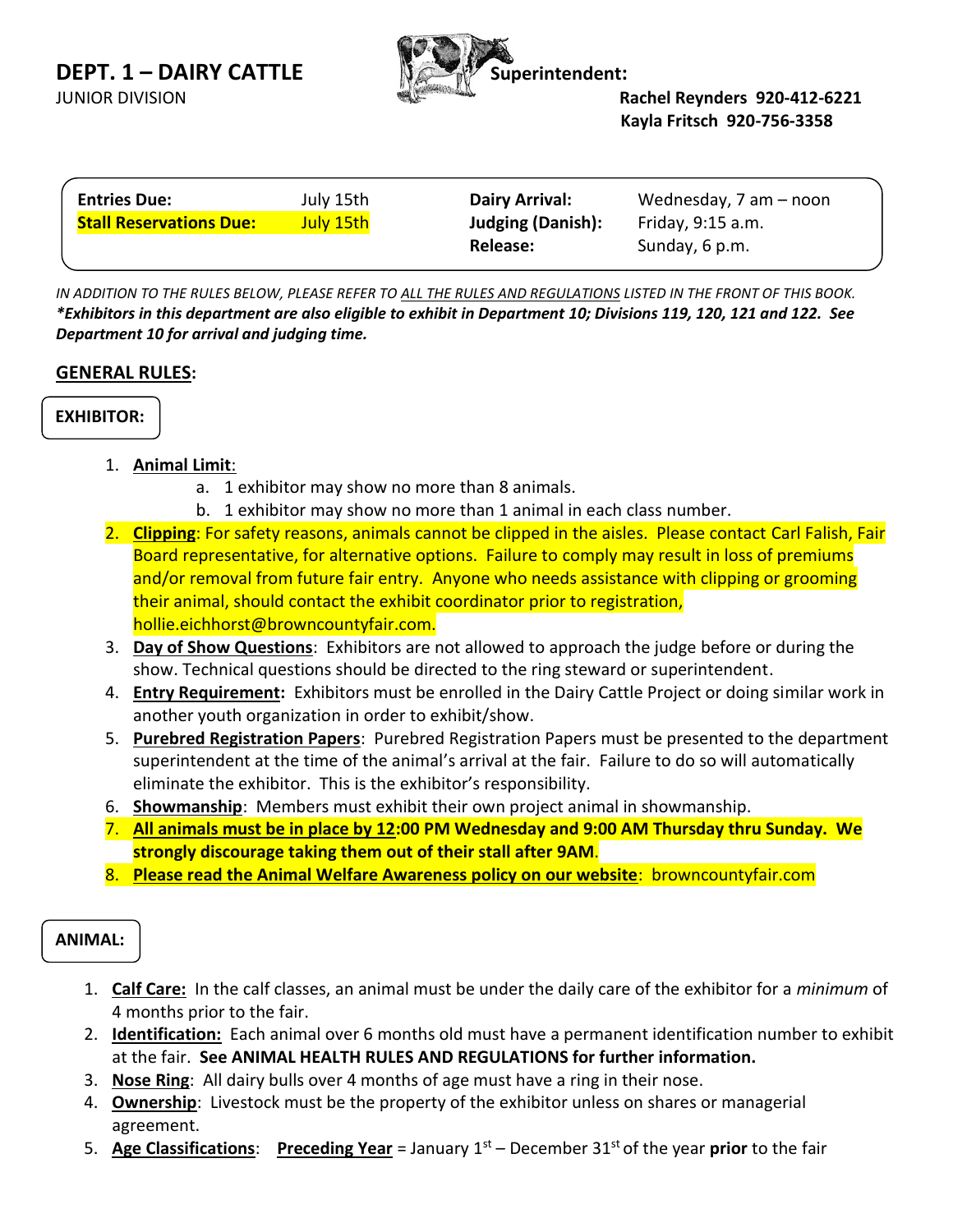**DEPT. 1 – DAIRY CATTLE Superintendent:** 





JUNIOR DIVISION **Rachel Reynders 920-412-6221 Kayla Fritsch 920-756-3358**

| <b>Entries Due:</b>            | July 15th | <b>Dairy Arrival:</b>    | Wednesday, $7$ am $-$ noon |
|--------------------------------|-----------|--------------------------|----------------------------|
| <b>Stall Reservations Due:</b> | July 15th | <b>Judging (Danish):</b> | Friday, 9:15 a.m.          |
|                                |           | Release:                 | Sunday, 6 p.m.             |

IN ADDITION TO THE RULES BELOW, PLEASE REFER TO ALL THE RULES AND REGULATIONS LISTED IN THE FRONT OF THIS BOOK. *\*Exhibitors in this department are also eligible to exhibit in Department 10; Divisions 119, 120, 121 and 122. See Department 10 for arrival and judging time.*

## **GENERAL RULES:**

**EXHIBITOR:**

- 1. **Animal Limit**:
	- a. 1 exhibitor may show no more than 8 animals.
	- b. 1 exhibitor may show no more than 1 animal in each class number.
- 2. **Clipping**: For safety reasons, animals cannot be clipped in the aisles. Please contact Carl Falish, Fair Board representative, for alternative options. Failure to comply may result in loss of premiums and/or removal from future fair entry. Anyone who needs assistance with clipping or grooming their animal, should contact the exhibit coordinator prior to registration, hollie.eichhorst@browncountyfair.com.
- 3. **Day of Show Questions**: Exhibitors are not allowed to approach the judge before or during the show. Technical questions should be directed to the ring steward or superintendent.
- 4. **Entry Requirement:** Exhibitors must be enrolled in the Dairy Cattle Project or doing similar work in another youth organization in order to exhibit/show.
- 5. **Purebred Registration Papers**: Purebred Registration Papers must be presented to the department superintendent at the time of the animal's arrival at the fair. Failure to do so will automatically eliminate the exhibitor. This is the exhibitor's responsibility.
- 6. **Showmanship**: Members must exhibit their own project animal in showmanship.
- 7. **All animals must be in place by 12:00 PM Wednesday and 9:00 AM Thursday thru Sunday. We strongly discourage taking them out of their stall after 9AM**.
- 8. **Please read the Animal Welfare Awareness policy on our website**: browncountyfair.com

# **ANIMAL:**

- 1. **Calf Care:** In the calf classes, an animal must be under the daily care of the exhibitor for a *minimum* of 4 months prior to the fair.
- 2. **Identification:** Each animal over 6 months old must have a permanent identification number to exhibit at the fair. **See ANIMAL HEALTH RULES AND REGULATIONS for further information.**
- 3. **Nose Ring**: All dairy bulls over 4 months of age must have a ring in their nose.
- 4. **Ownership**: Livestock must be the property of the exhibitor unless on shares or managerial agreement.
- 5. **Age Classifications**: **Preceding Year** = January 1st December 31st of the year **prior** to the fair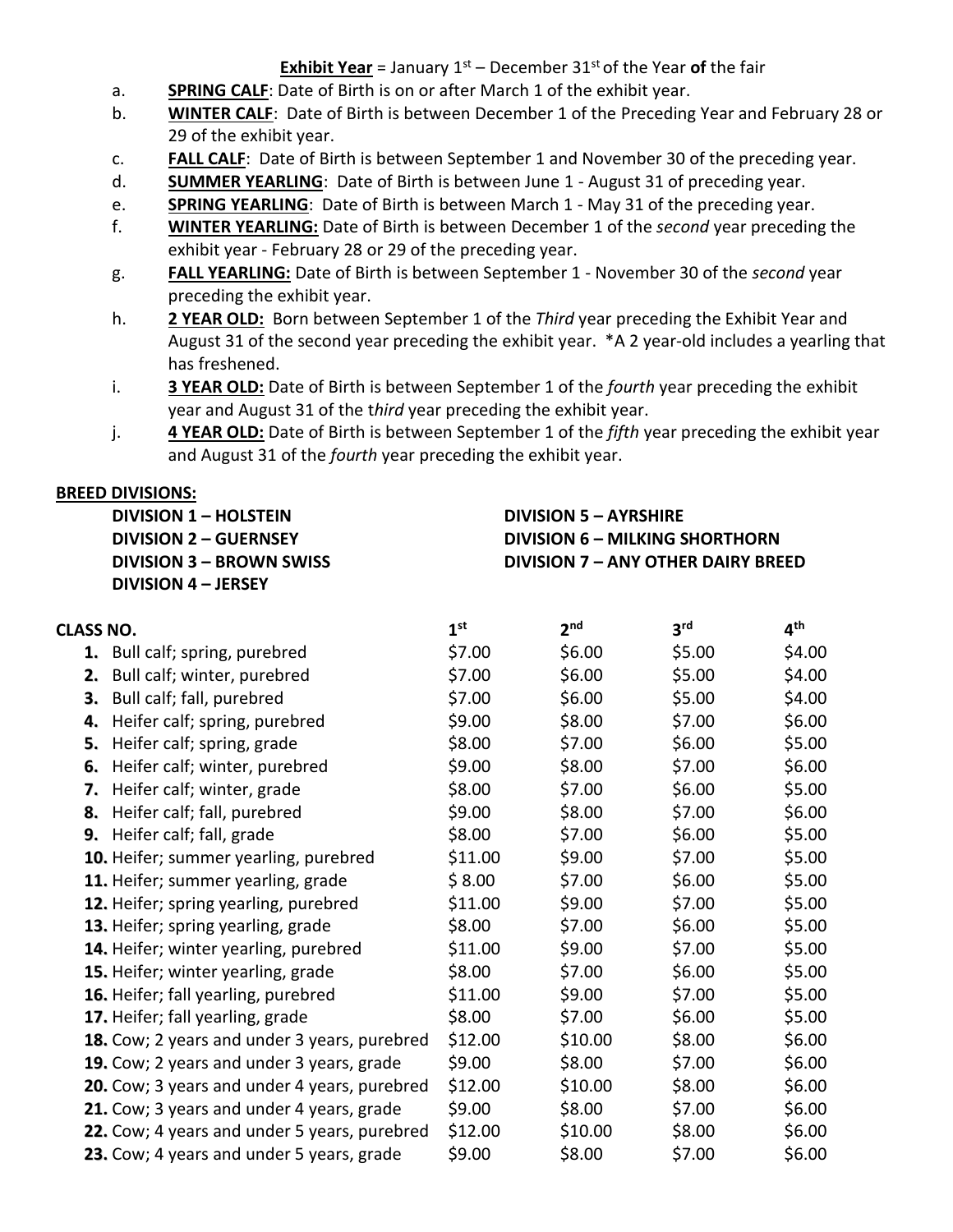## **Exhibit Year** = January 1 st – December 31st of the Year **of** the fair

- a. **SPRING CALF**: Date of Birth is on or after March 1 of the exhibit year.
- b. **WINTER CALF**: Date of Birth is between December 1 of the Preceding Year and February 28 or 29 of the exhibit year.
- c. **FALL CALF**: Date of Birth is between September 1 and November 30 of the preceding year.
- d. **SUMMER YEARLING**: Date of Birth is between June 1 August 31 of preceding year.
- e. **SPRING YEARLING**: Date of Birth is between March 1 May 31 of the preceding year.
- f. **WINTER YEARLING:** Date of Birth is between December 1 of the *second* year preceding the exhibit year - February 28 or 29 of the preceding year.
- g. **FALL YEARLING:** Date of Birth is between September 1 November 30 of the *second* year preceding the exhibit year.
- h. **2 YEAR OLD:** Born between September 1 of the *Third* year preceding the Exhibit Year and August 31 of the second year preceding the exhibit year. \*A 2 year-old includes a yearling that has freshened.
- i. **3 YEAR OLD:** Date of Birth is between September 1 of the *fourth* year preceding the exhibit year and August 31 of the t*hird* year preceding the exhibit year.
- j. **4 YEAR OLD:** Date of Birth is between September 1 of the *fifth* year preceding the exhibit year and August 31 of the *fourth* year preceding the exhibit year.

### **BREED DIVISIONS:**

**DIVISION 1 – HOLSTEIN DIVISION 2 – GUERNSEY DIVISION 3 – BROWN SWISS DIVISION 4 – JERSEY**

**DIVISION 5 – AYRSHIRE DIVISION 6 – MILKING SHORTHORN DIVISION 7 – ANY OTHER DAIRY BREED**

| CLASS NO. |                                              | 1 <sup>st</sup> | 2 <sub>nd</sub> | 3 <sup>rd</sup> | 4 <sup>th</sup> |
|-----------|----------------------------------------------|-----------------|-----------------|-----------------|-----------------|
|           | 1. Bull calf; spring, purebred               | \$7.00          | \$6.00          | \$5.00          | \$4.00          |
| 2.        | Bull calf; winter, purebred                  | \$7.00          | \$6.00          | \$5.00          | \$4.00          |
| 3.        | Bull calf; fall, purebred                    | \$7.00          | \$6.00          | \$5.00          | \$4.00          |
|           | 4. Heifer calf; spring, purebred             | \$9.00          | \$8.00          | \$7.00          | \$6.00          |
|           | 5. Heifer calf; spring, grade                | \$8.00          | \$7.00          | \$6.00          | \$5.00          |
| 6.        | Heifer calf; winter, purebred                | \$9.00          | \$8.00          | \$7.00          | \$6.00          |
| 7.        | Heifer calf; winter, grade                   | \$8.00          | \$7.00          | \$6.00          | \$5.00          |
|           | 8. Heifer calf; fall, purebred               | \$9.00          | \$8.00          | \$7.00          | \$6.00          |
|           | 9. Heifer calf; fall, grade                  | \$8.00          | \$7.00          | \$6.00          | \$5.00          |
|           | 10. Heifer; summer yearling, purebred        | \$11.00         | \$9.00          | \$7.00          | \$5.00          |
|           | 11. Heifer; summer yearling, grade           | \$8.00          | \$7.00          | \$6.00          | \$5.00          |
|           | 12. Heifer; spring yearling, purebred        | \$11.00         | \$9.00          | \$7.00          | \$5.00          |
|           | 13. Heifer; spring yearling, grade           | \$8.00          | \$7.00          | \$6.00          | \$5.00          |
|           | 14. Heifer; winter yearling, purebred        | \$11.00         | \$9.00          | \$7.00          | \$5.00          |
|           | 15. Heifer; winter yearling, grade           | \$8.00          | \$7.00          | \$6.00          | \$5.00          |
|           | 16. Heifer; fall yearling, purebred          | \$11.00         | \$9.00          | \$7.00          | \$5.00          |
|           | 17. Heifer; fall yearling, grade             | \$8.00          | \$7.00          | \$6.00          | \$5.00          |
|           | 18. Cow; 2 years and under 3 years, purebred | \$12.00         | \$10.00         | \$8.00          | \$6.00          |
|           | 19. Cow; 2 years and under 3 years, grade    | \$9.00          | \$8.00          | \$7.00          | \$6.00          |
|           | 20. Cow; 3 years and under 4 years, purebred | \$12.00         | \$10.00         | \$8.00          | \$6.00          |
|           | 21. Cow; 3 years and under 4 years, grade    | \$9.00          | \$8.00          | \$7.00          | \$6.00          |
|           | 22. Cow; 4 years and under 5 years, purebred | \$12.00         | \$10.00         | \$8.00          | \$6.00          |
|           | 23. Cow; 4 years and under 5 years, grade    | \$9.00          | \$8.00          | \$7.00          | \$6.00          |
|           |                                              |                 |                 |                 |                 |